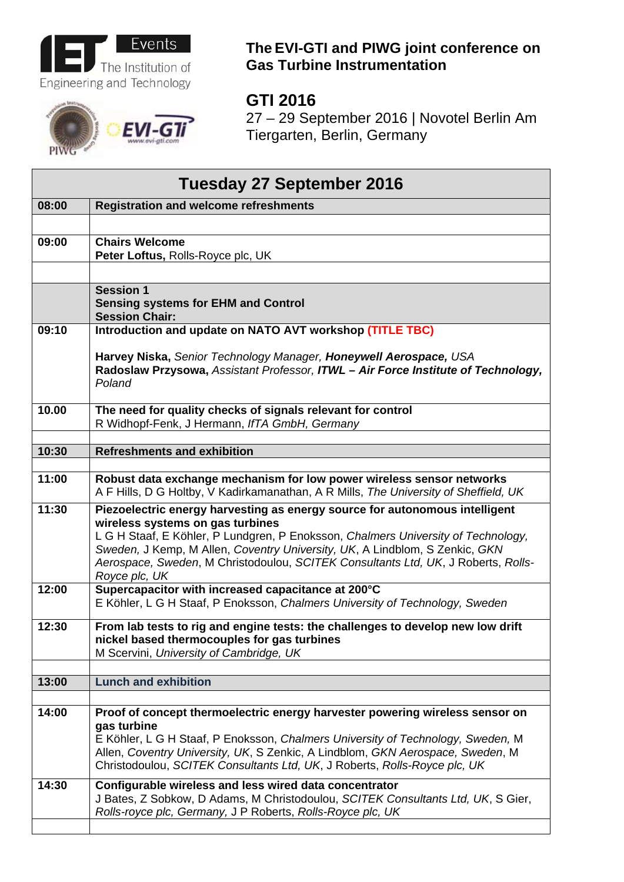

## EVI-

## **The EVI-GTI and PIWG joint conference on Gas Turbine Instrumentation**

## **GTI 2016**

27 – 29 September 2016 | Novotel Berlin Am Tiergarten, Berlin, Germany

| Tuesday 27 September 2016 |                                                                                                                                                                                                                                                                                                                                                                                           |  |
|---------------------------|-------------------------------------------------------------------------------------------------------------------------------------------------------------------------------------------------------------------------------------------------------------------------------------------------------------------------------------------------------------------------------------------|--|
| 08:00                     | <b>Registration and welcome refreshments</b>                                                                                                                                                                                                                                                                                                                                              |  |
|                           |                                                                                                                                                                                                                                                                                                                                                                                           |  |
| 09:00                     | <b>Chairs Welcome</b>                                                                                                                                                                                                                                                                                                                                                                     |  |
|                           | Peter Loftus, Rolls-Royce plc, UK                                                                                                                                                                                                                                                                                                                                                         |  |
|                           |                                                                                                                                                                                                                                                                                                                                                                                           |  |
|                           | <b>Session 1</b><br><b>Sensing systems for EHM and Control</b><br><b>Session Chair:</b>                                                                                                                                                                                                                                                                                                   |  |
| 09:10                     | Introduction and update on NATO AVT workshop (TITLE TBC)                                                                                                                                                                                                                                                                                                                                  |  |
|                           | Harvey Niska, Senior Technology Manager, Honeywell Aerospace, USA<br>Radoslaw Przysowa, Assistant Professor, ITWL - Air Force Institute of Technology,<br>Poland                                                                                                                                                                                                                          |  |
| 10.00                     | The need for quality checks of signals relevant for control<br>R Widhopf-Fenk, J Hermann, IfTA GmbH, Germany                                                                                                                                                                                                                                                                              |  |
|                           |                                                                                                                                                                                                                                                                                                                                                                                           |  |
| 10:30                     | <b>Refreshments and exhibition</b>                                                                                                                                                                                                                                                                                                                                                        |  |
| 11:00                     | Robust data exchange mechanism for low power wireless sensor networks<br>A F Hills, D G Holtby, V Kadirkamanathan, A R Mills, The University of Sheffield, UK                                                                                                                                                                                                                             |  |
| 11:30                     | Piezoelectric energy harvesting as energy source for autonomous intelligent<br>wireless systems on gas turbines<br>L G H Staaf, E Köhler, P Lundgren, P Enoksson, Chalmers University of Technology,<br>Sweden, J Kemp, M Allen, Coventry University, UK, A Lindblom, S Zenkic, GKN<br>Aerospace, Sweden, M Christodoulou, SCITEK Consultants Ltd, UK, J Roberts, Rolls-<br>Royce plc, UK |  |
| 12:00                     | Supercapacitor with increased capacitance at 200°C<br>E Köhler, L G H Staaf, P Enoksson, Chalmers University of Technology, Sweden                                                                                                                                                                                                                                                        |  |
| 12:30                     | From lab tests to rig and engine tests: the challenges to develop new low drift<br>nickel based thermocouples for gas turbines<br>M Scervini, University of Cambridge, UK                                                                                                                                                                                                                 |  |
| 13:00                     | <b>Lunch and exhibition</b>                                                                                                                                                                                                                                                                                                                                                               |  |
|                           |                                                                                                                                                                                                                                                                                                                                                                                           |  |
| 14:00                     | Proof of concept thermoelectric energy harvester powering wireless sensor on<br>gas turbine<br>E Köhler, L G H Staaf, P Enoksson, Chalmers University of Technology, Sweden, M<br>Allen, Coventry University, UK, S Zenkic, A Lindblom, GKN Aerospace, Sweden, M<br>Christodoulou, SCITEK Consultants Ltd, UK, J Roberts, Rolls-Royce plc, UK                                             |  |
| 14:30                     | Configurable wireless and less wired data concentrator<br>J Bates, Z Sobkow, D Adams, M Christodoulou, SCITEK Consultants Ltd, UK, S Gier,<br>Rolls-royce plc, Germany, J P Roberts, Rolls-Royce plc, UK                                                                                                                                                                                  |  |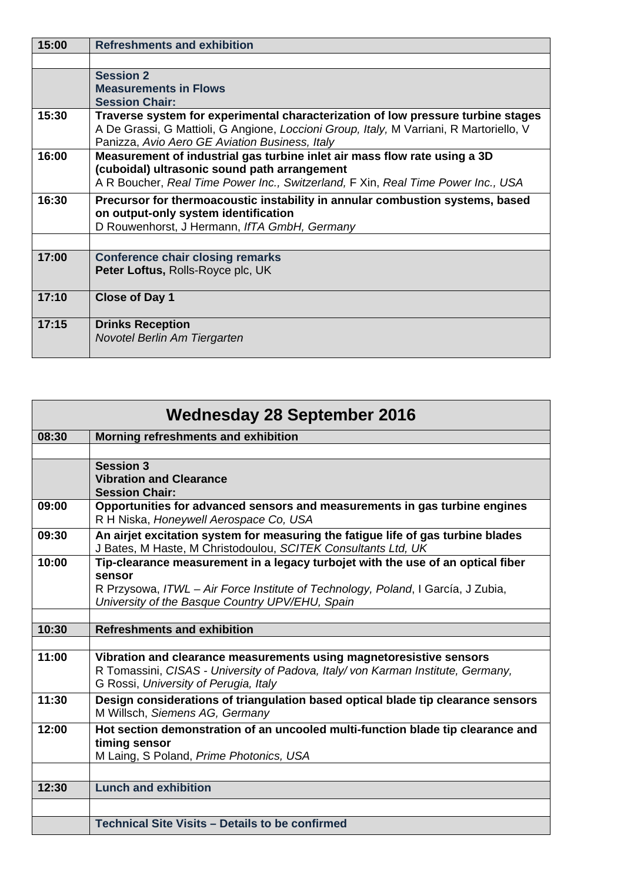| 15:00 | <b>Refreshments and exhibition</b>                                                                                                                                                                                            |
|-------|-------------------------------------------------------------------------------------------------------------------------------------------------------------------------------------------------------------------------------|
|       |                                                                                                                                                                                                                               |
|       | <b>Session 2</b>                                                                                                                                                                                                              |
|       | <b>Measurements in Flows</b>                                                                                                                                                                                                  |
|       | <b>Session Chair:</b>                                                                                                                                                                                                         |
| 15:30 | Traverse system for experimental characterization of low pressure turbine stages<br>A De Grassi, G Mattioli, G Angione, Loccioni Group, Italy, M Varriani, R Martoriello, V<br>Panizza, Avio Aero GE Aviation Business, Italy |
| 16:00 | Measurement of industrial gas turbine inlet air mass flow rate using a 3D<br>(cuboidal) ultrasonic sound path arrangement<br>A R Boucher, Real Time Power Inc., Switzerland, F Xin, Real Time Power Inc., USA                 |
| 16:30 |                                                                                                                                                                                                                               |
|       | Precursor for thermoacoustic instability in annular combustion systems, based<br>on output-only system identification                                                                                                         |
|       | D Rouwenhorst, J Hermann, IfTA GmbH, Germany                                                                                                                                                                                  |
|       |                                                                                                                                                                                                                               |
| 17:00 | <b>Conference chair closing remarks</b>                                                                                                                                                                                       |
|       | Peter Loftus, Rolls-Royce plc, UK                                                                                                                                                                                             |
| 17:10 | <b>Close of Day 1</b>                                                                                                                                                                                                         |
| 17:15 | <b>Drinks Reception</b>                                                                                                                                                                                                       |
|       | Novotel Berlin Am Tiergarten                                                                                                                                                                                                  |

| <b>Wednesday 28 September 2016</b> |                                                                                                                                                                                                 |  |
|------------------------------------|-------------------------------------------------------------------------------------------------------------------------------------------------------------------------------------------------|--|
| 08:30                              | Morning refreshments and exhibition                                                                                                                                                             |  |
|                                    |                                                                                                                                                                                                 |  |
|                                    | <b>Session 3</b>                                                                                                                                                                                |  |
|                                    | <b>Vibration and Clearance</b>                                                                                                                                                                  |  |
|                                    | <b>Session Chair:</b>                                                                                                                                                                           |  |
| 09:00                              | Opportunities for advanced sensors and measurements in gas turbine engines<br>R H Niska, Honeywell Aerospace Co, USA                                                                            |  |
| 09:30                              | An airjet excitation system for measuring the fatigue life of gas turbine blades<br>J Bates, M Haste, M Christodoulou, SCITEK Consultants Ltd, UK                                               |  |
| 10:00                              | Tip-clearance measurement in a legacy turbojet with the use of an optical fiber<br>sensor                                                                                                       |  |
|                                    | R Przysowa, ITWL - Air Force Institute of Technology, Poland, I García, J Zubia,<br>University of the Basque Country UPV/EHU, Spain                                                             |  |
|                                    |                                                                                                                                                                                                 |  |
| 10:30                              | <b>Refreshments and exhibition</b>                                                                                                                                                              |  |
|                                    |                                                                                                                                                                                                 |  |
| 11:00                              | Vibration and clearance measurements using magnetoresistive sensors<br>R Tomassini, CISAS - University of Padova, Italy/von Karman Institute, Germany,<br>G Rossi, University of Perugia, Italy |  |
| 11:30                              | Design considerations of triangulation based optical blade tip clearance sensors                                                                                                                |  |
|                                    | M Willsch, Siemens AG, Germany                                                                                                                                                                  |  |
| 12:00                              | Hot section demonstration of an uncooled multi-function blade tip clearance and                                                                                                                 |  |
|                                    | timing sensor                                                                                                                                                                                   |  |
|                                    | M Laing, S Poland, Prime Photonics, USA                                                                                                                                                         |  |
|                                    |                                                                                                                                                                                                 |  |
| 12:30                              | <b>Lunch and exhibition</b>                                                                                                                                                                     |  |
|                                    |                                                                                                                                                                                                 |  |
|                                    | Technical Site Visits - Details to be confirmed                                                                                                                                                 |  |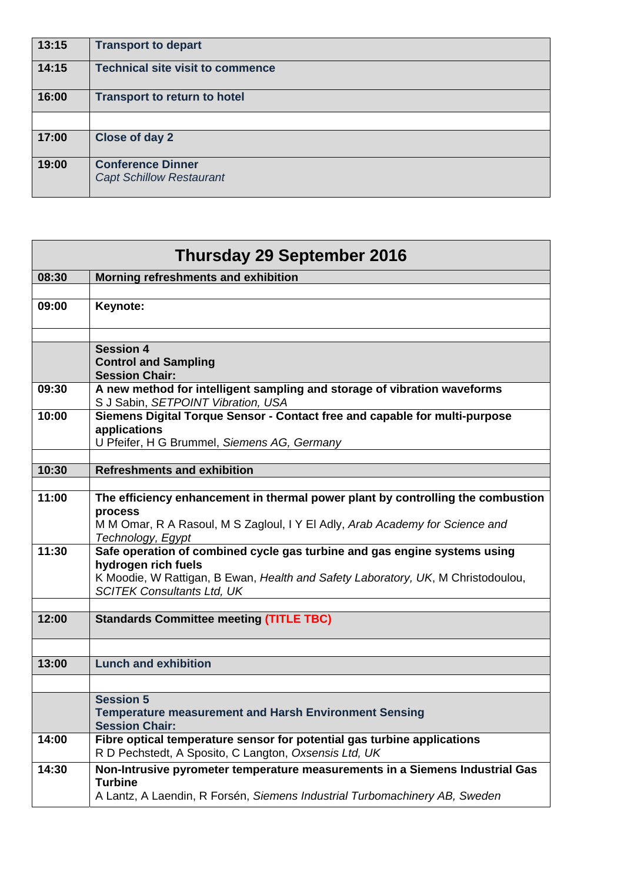| 13:15 | <b>Transport to depart</b>              |
|-------|-----------------------------------------|
| 14:15 | <b>Technical site visit to commence</b> |
| 16:00 | <b>Transport to return to hotel</b>     |
|       |                                         |
| 17:00 | Close of day 2                          |
| 19:00 | <b>Conference Dinner</b>                |
|       | <b>Capt Schillow Restaurant</b>         |

| <b>Thursday 29 September 2016</b> |                                                                                                |  |
|-----------------------------------|------------------------------------------------------------------------------------------------|--|
| 08:30                             | Morning refreshments and exhibition                                                            |  |
| 09:00                             | Keynote:                                                                                       |  |
|                                   |                                                                                                |  |
|                                   |                                                                                                |  |
|                                   | <b>Session 4</b><br><b>Control and Sampling</b>                                                |  |
|                                   | <b>Session Chair:</b>                                                                          |  |
| 09:30                             | A new method for intelligent sampling and storage of vibration waveforms                       |  |
|                                   | S J Sabin, SETPOINT Vibration, USA                                                             |  |
| 10:00                             | Siemens Digital Torque Sensor - Contact free and capable for multi-purpose<br>applications     |  |
|                                   | U Pfeifer, H G Brummel, Siemens AG, Germany                                                    |  |
|                                   |                                                                                                |  |
| 10:30                             | <b>Refreshments and exhibition</b>                                                             |  |
| 11:00                             | The efficiency enhancement in thermal power plant by controlling the combustion                |  |
|                                   | process                                                                                        |  |
|                                   | M M Omar, R A Rasoul, M S Zagloul, I Y El Adly, Arab Academy for Science and                   |  |
| 11:30                             | Technology, Egypt<br>Safe operation of combined cycle gas turbine and gas engine systems using |  |
|                                   | hydrogen rich fuels                                                                            |  |
|                                   | K Moodie, W Rattigan, B Ewan, Health and Safety Laboratory, UK, M Christodoulou,               |  |
|                                   | <b>SCITEK Consultants Ltd, UK</b>                                                              |  |
| 12:00                             | <b>Standards Committee meeting (TITLE TBC)</b>                                                 |  |
|                                   |                                                                                                |  |
|                                   |                                                                                                |  |
| 13:00                             | <b>Lunch and exhibition</b>                                                                    |  |
|                                   |                                                                                                |  |
|                                   | <b>Session 5</b>                                                                               |  |
|                                   | <b>Temperature measurement and Harsh Environment Sensing</b><br><b>Session Chair:</b>          |  |
| 14:00                             | Fibre optical temperature sensor for potential gas turbine applications                        |  |
|                                   | R D Pechstedt, A Sposito, C Langton, Oxsensis Ltd, UK                                          |  |
| 14:30                             | Non-Intrusive pyrometer temperature measurements in a Siemens Industrial Gas<br><b>Turbine</b> |  |
|                                   | A Lantz, A Laendin, R Forsén, Siemens Industrial Turbomachinery AB, Sweden                     |  |
|                                   |                                                                                                |  |